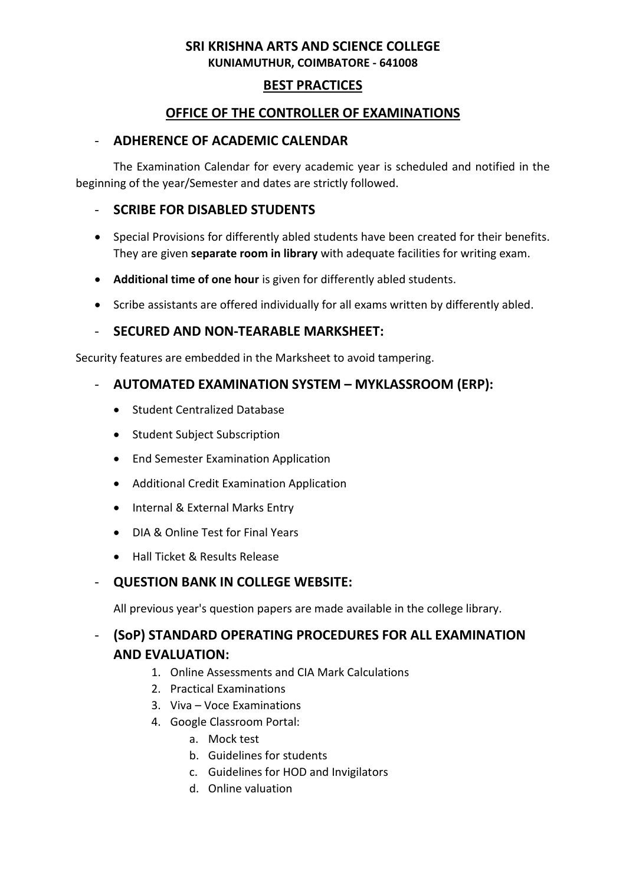# **BEST PRACTICES**

# **OFFICE OF THE CONTROLLER OF EXAMINATIONS**

### - **ADHERENCE OF ACADEMIC CALENDAR**

The Examination Calendar for every academic year is scheduled and notified in the beginning of the year/Semester and dates are strictly followed.

#### - **SCRIBE FOR DISABLED STUDENTS**

- Special Provisions for differently abled students have been created for their benefits. They are given **separate room in library** with adequate facilities for writing exam.
- **Additional time of one hour** is given for differently abled students.
- Scribe assistants are offered individually for all exams written by differently abled.

#### - **SECURED AND NON-TEARABLE MARKSHEET:**

Security features are embedded in the Marksheet to avoid tampering.

#### - **AUTOMATED EXAMINATION SYSTEM – MYKLASSROOM (ERP):**

- **•** Student Centralized Database
- Student Subject Subscription
- **•** End Semester Examination Application
- Additional Credit Examination Application
- Internal & External Marks Entry
- DIA & Online Test for Final Years
- Hall Ticket & Results Release

# - **QUESTION BANK IN COLLEGE WEBSITE:**

All previous year's question papers are made available in the college library.

# - **(SoP) STANDARD OPERATING PROCEDURES FOR ALL EXAMINATION AND EVALUATION:**

- 1. Online Assessments and CIA Mark Calculations
- 2. Practical Examinations
- 3. Viva Voce Examinations
- 4. Google Classroom Portal:
	- a. Mock test
	- b. Guidelines for students
	- c. Guidelines for HOD and Invigilators
	- d. Online valuation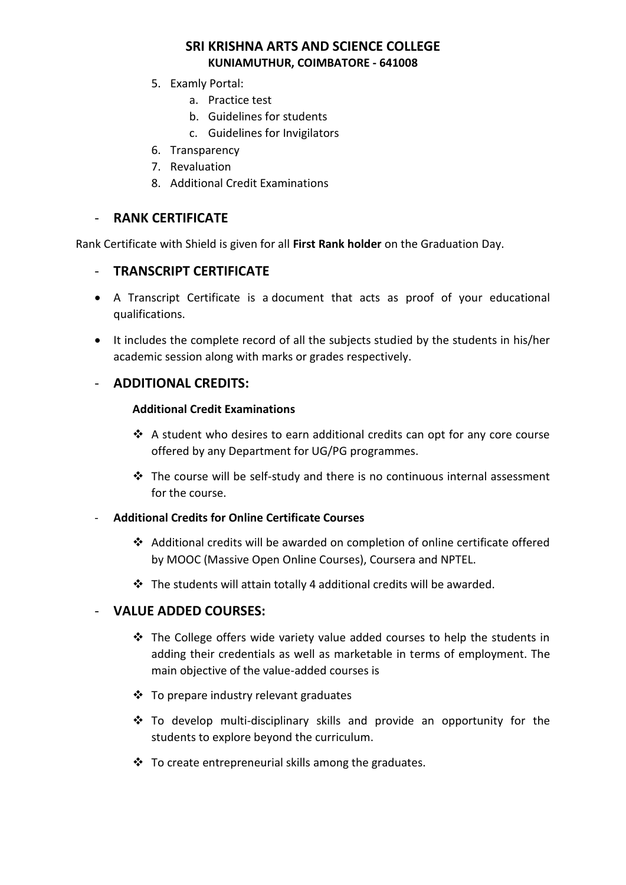- 5. Examly Portal:
	- a. Practice test
	- b. Guidelines for students
	- c. Guidelines for Invigilators
- 6. Transparency
- 7. Revaluation
- 8. Additional Credit Examinations

# - **RANK CERTIFICATE**

Rank Certificate with Shield is given for all **First Rank holder** on the Graduation Day.

# - **TRANSCRIPT CERTIFICATE**

- A Transcript Certificate is a document that acts as proof of your educational qualifications.
- It includes the complete record of all the subjects studied by the students in his/her academic session along with marks or grades respectively.

# - **ADDITIONAL CREDITS:**

#### **Additional Credit Examinations**

- A student who desires to earn additional credits can opt for any core course offered by any Department for UG/PG programmes.
- $\triangle$  The course will be self-study and there is no continuous internal assessment for the course.

#### - **Additional Credits for Online Certificate Courses**

- Additional credits will be awarded on completion of online certificate offered by MOOC (Massive Open Online Courses), Coursera and NPTEL.
- The students will attain totally 4 additional credits will be awarded.

#### - **VALUE ADDED COURSES:**

- $\cdot \cdot$  The College offers wide variety value added courses to help the students in adding their credentials as well as marketable in terms of employment. The main objective of the value-added courses is
- To prepare industry relevant graduates
- To develop multi-disciplinary skills and provide an opportunity for the students to explore beyond the curriculum.
- $\cdot \cdot$  To create entrepreneurial skills among the graduates.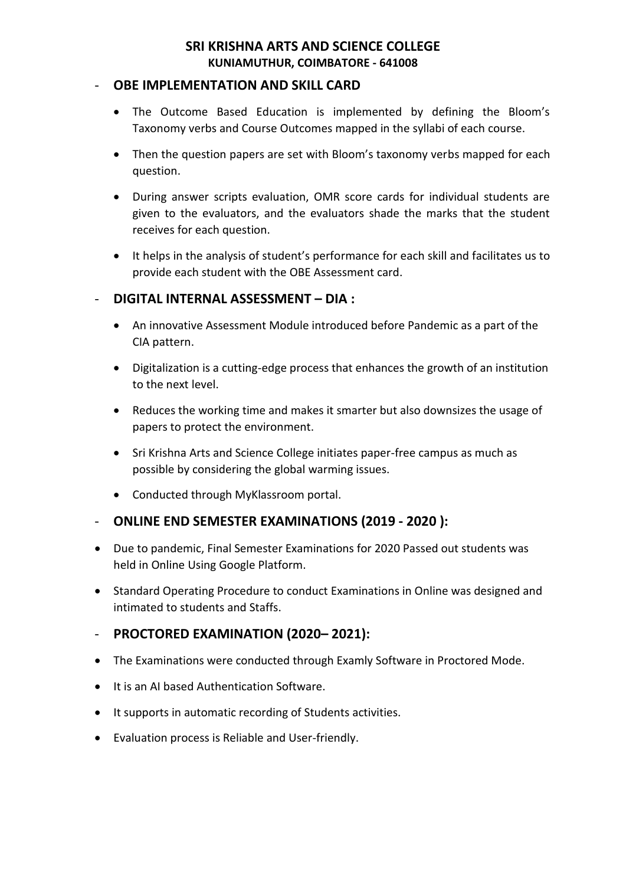#### - **OBE IMPLEMENTATION AND SKILL CARD**

- The Outcome Based Education is implemented by defining the Bloom's Taxonomy verbs and Course Outcomes mapped in the syllabi of each course.
- Then the question papers are set with Bloom's taxonomy verbs mapped for each question.
- During answer scripts evaluation, OMR score cards for individual students are given to the evaluators, and the evaluators shade the marks that the student receives for each question.
- It helps in the analysis of student's performance for each skill and facilitates us to provide each student with the OBE Assessment card.

# - **DIGITAL INTERNAL ASSESSMENT – DIA :**

- An innovative Assessment Module introduced before Pandemic as a part of the CIA pattern.
- Digitalization is a cutting-edge process that enhances the growth of an institution to the next level.
- Reduces the working time and makes it smarter but also downsizes the usage of papers to protect the environment.
- Sri Krishna Arts and Science College initiates paper-free campus as much as possible by considering the global warming issues.
- Conducted through MyKlassroom portal.
- **ONLINE END SEMESTER EXAMINATIONS (2019 - 2020 ):**
- Due to pandemic, Final Semester Examinations for 2020 Passed out students was held in Online Using Google Platform.
- Standard Operating Procedure to conduct Examinations in Online was designed and intimated to students and Staffs.

# - **PROCTORED EXAMINATION (2020– 2021):**

- The Examinations were conducted through Examly Software in Proctored Mode.
- It is an AI based Authentication Software.
- It supports in automatic recording of Students activities.
- Evaluation process is Reliable and User-friendly.